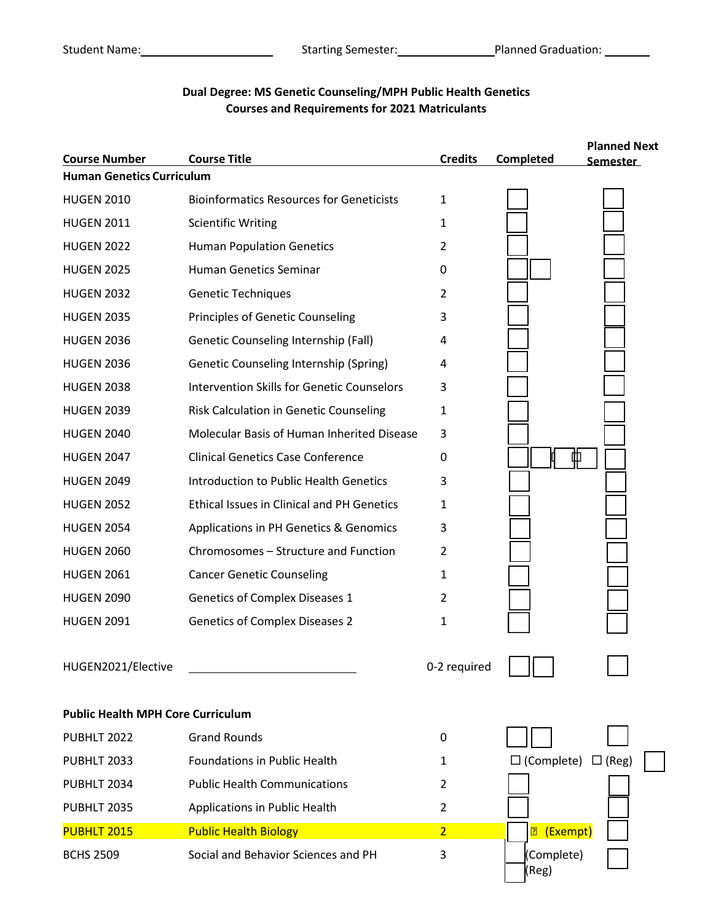# $\mathbb{R}^n$  $\mathbf{I}$  $\mathbb{R}$  $\mathbf{H}$  **Course Number Course Title Credits Completed Human Genetics Curriculum Planned Next Semester** HUGEN2021/Elective **CONSERVIATION** C-2 required **Public Health MPH Core Curriculum** ▥ HUGEN 2010 Bioinformatics Resources for Geneticists 1 HUGEN 2011 Scientific Writing 1 HUGEN 2022 Human Population Genetics 2 HUGEN 2025 Human Genetics Seminar 0 HUGEN 2032 Genetic Techniques 2 HUGEN 2035 Principles of Genetic Counseling 3 HUGEN 2036 Genetic Counseling Internship (Fall) 4 HUGEN 2036 Genetic Counseling Internship (Spring) 4 HUGEN 2038 Intervention Skills for Genetic Counselors 3 HUGEN 2039 Risk Calculation in Genetic Counseling 1 HUGEN 2040 Molecular Basis of Human Inherited Disease 3 HUGEN 2047 Clinical Genetics Case Conference 0 HUGEN 2049 **Introduction to Public Health Genetics** 3 HUGEN 2052 Ethical Issues in Clinical and PH Genetics 1 HUGEN 2054 Applications in PH Genetics & Genomics 3 HUGEN 2060 Chromosomes – Structure and Function 2 HUGEN 2061 Cancer Genetic Counseling 1 HUGEN 2090 Genetics of Complex Diseases 1 2 HUGEN 2091 Genetics of Complex Diseases 2 1 PUBHLT 2022 Grand Rounds 0 PUBHLT 2033 Foundations in Public Health 1  $\Box$  (Complete)  $\Box$  (Reg) PUBHLT 2034 Public Health Communications 2 PUBHLT 2035 Applications in Public Health 2 <mark>图 (Exempt)</mark> (Complete) (Reg) PUBHLT 2015 Public Health Biology 2 ) BCHS 2509 Social and Behavior Sciences and PH 3

## **Dual Degree: MS Genetic Counseling/MPH Public Health Genetics Courses and Requirements for 2021 Matriculants**